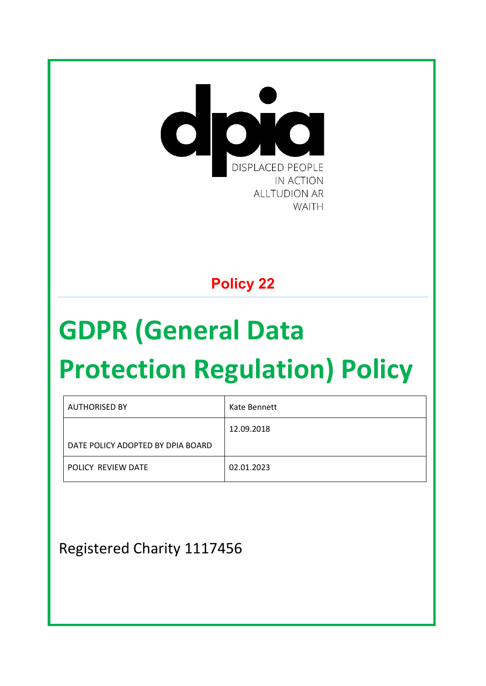

## **Policy 22**

# **GDPR (General Data**

# **Protection Regulation) Policy**

| <b>AUTHORISED BY</b>              | Kate Bennett |
|-----------------------------------|--------------|
|                                   | 12.09.2018   |
| DATE POLICY ADOPTED BY DPIA BOARD |              |
| POLICY REVIEW DATE                | 02.01.2023   |

Registered Charity 1117456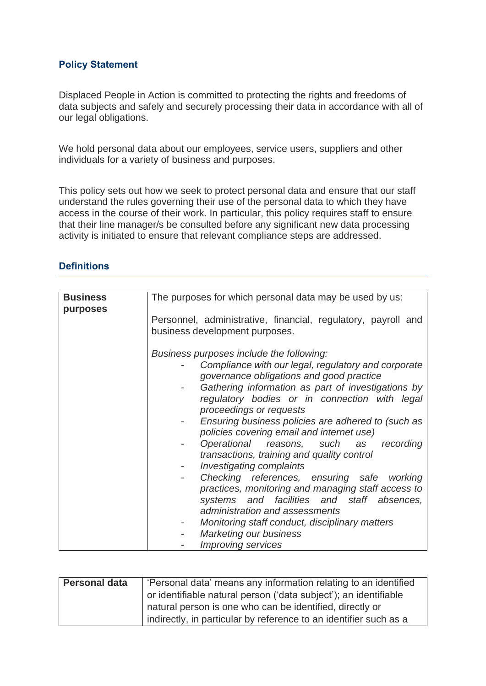## **Policy Statement**

Displaced People in Action is committed to protecting the rights and freedoms of data subjects and safely and securely processing their data in accordance with all of our legal obligations.

We hold personal data about our employees, service users, suppliers and other individuals for a variety of business and purposes.

This policy sets out how we seek to protect personal data and ensure that our staff understand the rules governing their use of the personal data to which they have access in the course of their work. In particular, this policy requires staff to ensure that their line manager/s be consulted before any significant new data processing activity is initiated to ensure that relevant compliance steps are addressed.

## **Definitions**

| <b>Business</b><br>purposes | The purposes for which personal data may be used by us:                                                                                                                                                                                                                                                                                                                                                                                                                                                                                                                                                                                                                                                                                                                                           |
|-----------------------------|---------------------------------------------------------------------------------------------------------------------------------------------------------------------------------------------------------------------------------------------------------------------------------------------------------------------------------------------------------------------------------------------------------------------------------------------------------------------------------------------------------------------------------------------------------------------------------------------------------------------------------------------------------------------------------------------------------------------------------------------------------------------------------------------------|
|                             | Personnel, administrative, financial, regulatory, payroll and<br>business development purposes.                                                                                                                                                                                                                                                                                                                                                                                                                                                                                                                                                                                                                                                                                                   |
|                             | Business purposes include the following:<br>Compliance with our legal, regulatory and corporate<br>governance obligations and good practice<br>Gathering information as part of investigations by<br>regulatory bodies or in connection with legal<br>proceedings or requests<br>Ensuring business policies are adhered to (such as<br>policies covering email and internet use)<br>Operational reasons, such as recording<br>transactions, training and quality control<br>Investigating complaints<br>Checking references, ensuring safe working<br>practices, monitoring and managing staff access to<br>systems and facilities and staff absences,<br>administration and assessments<br>Monitoring staff conduct, disciplinary matters<br>Marketing our business<br><b>Improving services</b> |

| <b>Personal data</b> | 'Personal data' means any information relating to an identified   |  |
|----------------------|-------------------------------------------------------------------|--|
|                      | or identifiable natural person ('data subject'); an identifiable  |  |
|                      | natural person is one who can be identified, directly or          |  |
|                      | indirectly, in particular by reference to an identifier such as a |  |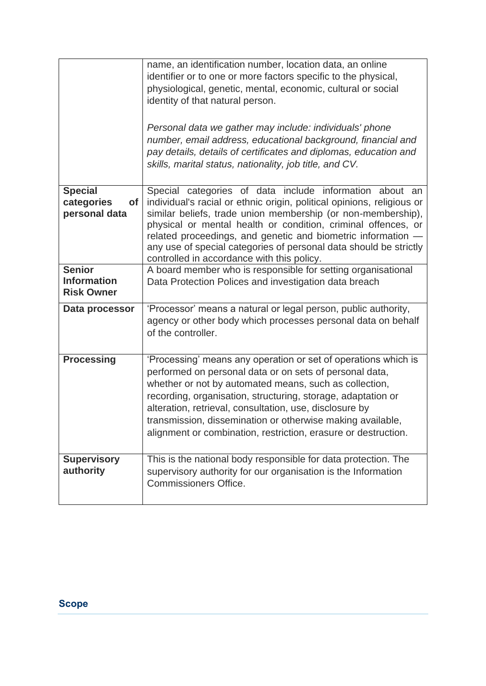|                                                          | name, an identification number, location data, an online<br>identifier or to one or more factors specific to the physical,<br>physiological, genetic, mental, economic, cultural or social<br>identity of that natural person.<br>Personal data we gather may include: individuals' phone<br>number, email address, educational background, financial and<br>pay details, details of certificates and diplomas, education and<br>skills, marital status, nationality, job title, and CV. |
|----------------------------------------------------------|------------------------------------------------------------------------------------------------------------------------------------------------------------------------------------------------------------------------------------------------------------------------------------------------------------------------------------------------------------------------------------------------------------------------------------------------------------------------------------------|
| <b>Special</b><br>categories<br>of<br>personal data      | Special categories of data include information about an<br>individual's racial or ethnic origin, political opinions, religious or<br>similar beliefs, trade union membership (or non-membership),<br>physical or mental health or condition, criminal offences, or<br>related proceedings, and genetic and biometric information -<br>any use of special categories of personal data should be strictly<br>controlled in accordance with this policy.                                    |
| <b>Senior</b><br><b>Information</b><br><b>Risk Owner</b> | A board member who is responsible for setting organisational<br>Data Protection Polices and investigation data breach                                                                                                                                                                                                                                                                                                                                                                    |
| Data processor                                           | 'Processor' means a natural or legal person, public authority,<br>agency or other body which processes personal data on behalf<br>of the controller.                                                                                                                                                                                                                                                                                                                                     |
| <b>Processing</b>                                        | 'Processing' means any operation or set of operations which is<br>performed on personal data or on sets of personal data,<br>whether or not by automated means, such as collection,<br>recording, organisation, structuring, storage, adaptation or<br>alteration, retrieval, consultation, use, disclosure by<br>transmission, dissemination or otherwise making available.<br>alignment or combination, restriction, erasure or destruction.                                           |
| <b>Supervisory</b><br>authority                          | This is the national body responsible for data protection. The<br>supervisory authority for our organisation is the Information<br><b>Commissioners Office.</b>                                                                                                                                                                                                                                                                                                                          |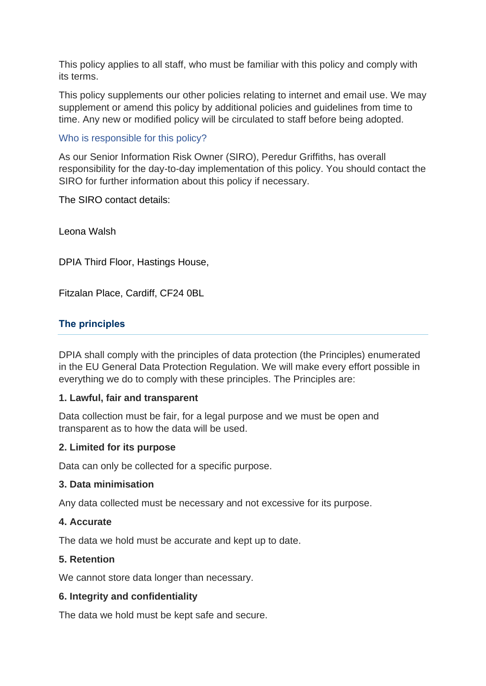This policy applies to all staff, who must be familiar with this policy and comply with its terms.

This policy supplements our other policies relating to internet and email use. We may supplement or amend this policy by additional policies and guidelines from time to time. Any new or modified policy will be circulated to staff before being adopted.

Who is responsible for this policy?

As our Senior Information Risk Owner (SIRO), Peredur Griffiths, has overall responsibility for the day-to-day implementation of this policy. You should contact the SIRO for further information about this policy if necessary.

The SIRO contact details:

Leona Walsh

DPIA Third Floor, Hastings House,

Fitzalan Place, Cardiff, CF24 0BL

## **The principles**

DPIA shall comply with the principles of data protection (the Principles) enumerated in the EU General Data Protection Regulation. We will make every effort possible in everything we do to comply with these principles. The Principles are:

## **1. Lawful, fair and transparent**

Data collection must be fair, for a legal purpose and we must be open and transparent as to how the data will be used.

## **2. Limited for its purpose**

Data can only be collected for a specific purpose.

## **3. Data minimisation**

Any data collected must be necessary and not excessive for its purpose.

## **4. Accurate**

The data we hold must be accurate and kept up to date.

## **5. Retention**

We cannot store data longer than necessary.

## **6. Integrity and confidentiality**

The data we hold must be kept safe and secure.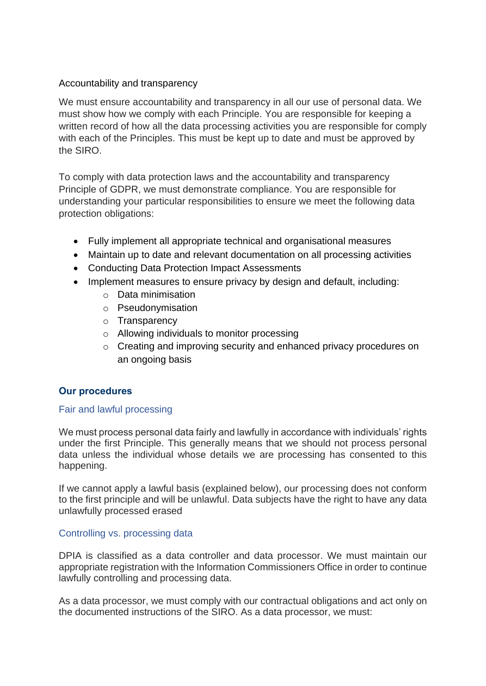## Accountability and transparency

We must ensure accountability and transparency in all our use of personal data. We must show how we comply with each Principle. You are responsible for keeping a written record of how all the data processing activities you are responsible for comply with each of the Principles. This must be kept up to date and must be approved by the SIRO.

To comply with data protection laws and the accountability and transparency Principle of GDPR, we must demonstrate compliance. You are responsible for understanding your particular responsibilities to ensure we meet the following data protection obligations:

- Fully implement all appropriate technical and organisational measures
- Maintain up to date and relevant documentation on all processing activities
- Conducting Data Protection Impact Assessments
- Implement measures to ensure privacy by design and default, including:
	- o Data minimisation
	- o Pseudonymisation
	- o Transparency
	- o Allowing individuals to monitor processing
	- o Creating and improving security and enhanced privacy procedures on an ongoing basis

## **Our procedures**

## Fair and lawful processing

We must process personal data fairly and lawfully in accordance with individuals' rights under the first Principle. This generally means that we should not process personal data unless the individual whose details we are processing has consented to this happening.

If we cannot apply a lawful basis (explained below), our processing does not conform to the first principle and will be unlawful. Data subjects have the right to have any data unlawfully processed erased

## Controlling vs. processing data

DPIA is classified as a data controller and data processor. We must maintain our appropriate registration with the Information Commissioners Office in order to continue lawfully controlling and processing data.

As a data processor, we must comply with our contractual obligations and act only on the documented instructions of the SIRO. As a data processor, we must: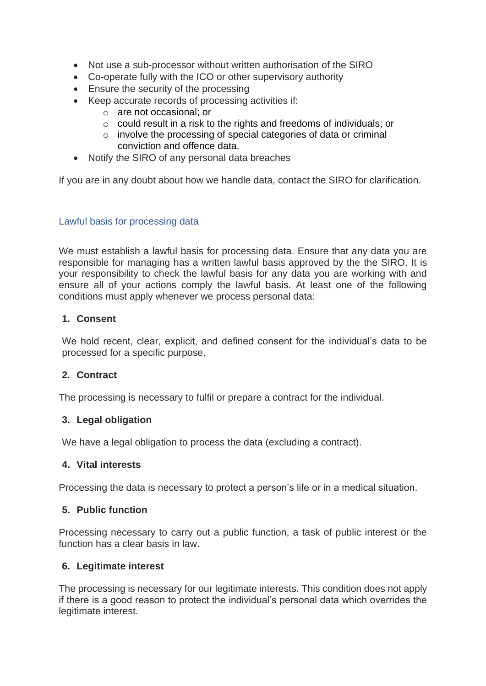- Not use a sub-processor without written authorisation of the SIRO
- Co-operate fully with the ICO or other supervisory authority
- Ensure the security of the processing
- Keep accurate records of processing activities if:
	- o are not occasional; or
	- $\circ$  could result in a risk to the rights and freedoms of individuals; or
	- o involve the processing of special categories of data or criminal conviction and offence data.
- Notify the SIRO of any personal data breaches

If you are in any doubt about how we handle data, contact the SIRO for clarification.

## Lawful basis for processing data

We must establish a lawful basis for processing data. Ensure that any data you are responsible for managing has a written lawful basis approved by the the SIRO. It is your responsibility to check the lawful basis for any data you are working with and ensure all of your actions comply the lawful basis. At least one of the following conditions must apply whenever we process personal data:

## **1. Consent**

We hold recent, clear, explicit, and defined consent for the individual's data to be processed for a specific purpose.

## **2. Contract**

The processing is necessary to fulfil or prepare a contract for the individual.

## **3. Legal obligation**

We have a legal obligation to process the data (excluding a contract).

#### **4. Vital interests**

Processing the data is necessary to protect a person's life or in a medical situation.

## **5. Public function**

Processing necessary to carry out a public function, a task of public interest or the function has a clear basis in law.

## **6. Legitimate interest**

The processing is necessary for our legitimate interests. This condition does not apply if there is a good reason to protect the individual's personal data which overrides the legitimate interest.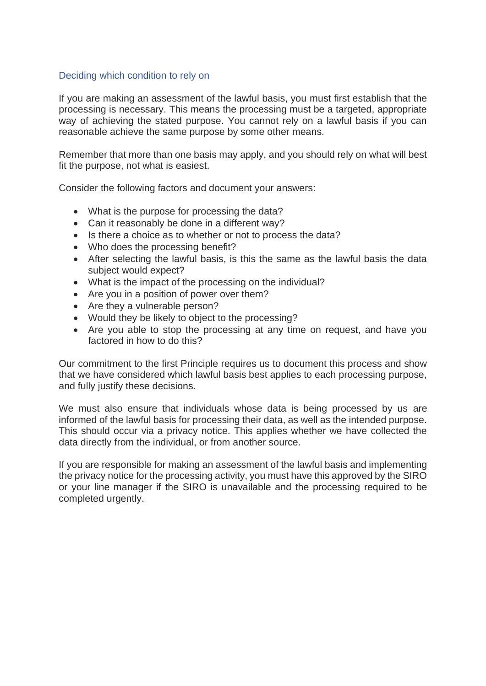## Deciding which condition to rely on

If you are making an assessment of the lawful basis, you must first establish that the processing is necessary. This means the processing must be a targeted, appropriate way of achieving the stated purpose. You cannot rely on a lawful basis if you can reasonable achieve the same purpose by some other means.

Remember that more than one basis may apply, and you should rely on what will best fit the purpose, not what is easiest.

Consider the following factors and document your answers:

- What is the purpose for processing the data?
- Can it reasonably be done in a different way?
- Is there a choice as to whether or not to process the data?
- Who does the processing benefit?
- After selecting the lawful basis, is this the same as the lawful basis the data subject would expect?
- What is the impact of the processing on the individual?
- Are you in a position of power over them?
- Are they a vulnerable person?
- Would they be likely to object to the processing?
- Are you able to stop the processing at any time on request, and have you factored in how to do this?

Our commitment to the first Principle requires us to document this process and show that we have considered which lawful basis best applies to each processing purpose, and fully justify these decisions.

We must also ensure that individuals whose data is being processed by us are informed of the lawful basis for processing their data, as well as the intended purpose. This should occur via a privacy notice. This applies whether we have collected the data directly from the individual, or from another source.

If you are responsible for making an assessment of the lawful basis and implementing the privacy notice for the processing activity, you must have this approved by the SIRO or your line manager if the SIRO is unavailable and the processing required to be completed urgently.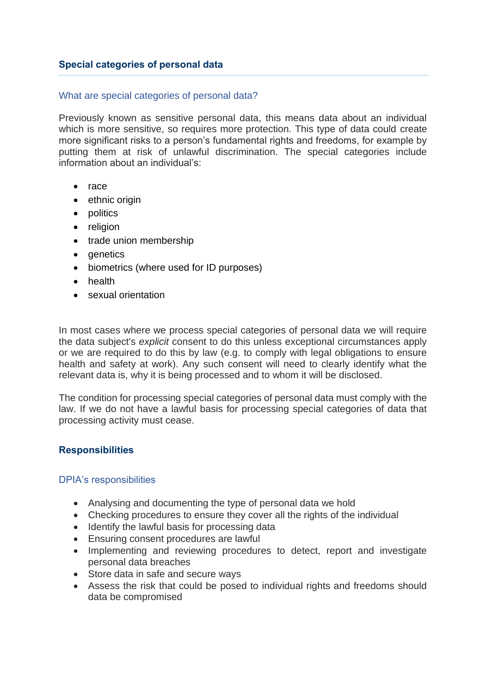## What are special categories of personal data?

Previously known as sensitive personal data, this means data about an individual which is more sensitive, so requires more protection. This type of data could create more significant risks to a person's fundamental rights and freedoms, for example by putting them at risk of unlawful discrimination. The special categories include information about an individual's:

- race
- ethnic origin
- politics
- religion
- trade union membership
- denetics
- biometrics (where used for ID purposes)
- health
- sexual orientation

In most cases where we process special categories of personal data we will require the data subject's *explicit* consent to do this unless exceptional circumstances apply or we are required to do this by law (e.g. to comply with legal obligations to ensure health and safety at work). Any such consent will need to clearly identify what the relevant data is, why it is being processed and to whom it will be disclosed.

The condition for processing special categories of personal data must comply with the law. If we do not have a lawful basis for processing special categories of data that processing activity must cease.

## **Responsibilities**

## DPIA's responsibilities

- Analysing and documenting the type of personal data we hold
- Checking procedures to ensure they cover all the rights of the individual
- Identify the lawful basis for processing data
- Ensuring consent procedures are lawful
- Implementing and reviewing procedures to detect, report and investigate personal data breaches
- Store data in safe and secure ways
- Assess the risk that could be posed to individual rights and freedoms should data be compromised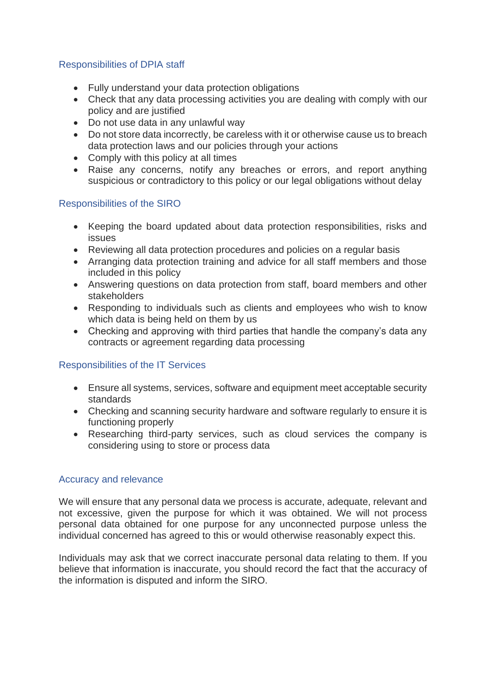## Responsibilities of DPIA staff

- Fully understand your data protection obligations
- Check that any data processing activities you are dealing with comply with our policy and are justified
- Do not use data in any unlawful way
- Do not store data incorrectly, be careless with it or otherwise cause us to breach data protection laws and our policies through your actions
- Comply with this policy at all times
- Raise any concerns, notify any breaches or errors, and report anything suspicious or contradictory to this policy or our legal obligations without delay

## Responsibilities of the SIRO

- Keeping the board updated about data protection responsibilities, risks and issues
- Reviewing all data protection procedures and policies on a regular basis
- Arranging data protection training and advice for all staff members and those included in this policy
- Answering questions on data protection from staff, board members and other stakeholders
- Responding to individuals such as clients and employees who wish to know which data is being held on them by us
- Checking and approving with third parties that handle the company's data any contracts or agreement regarding data processing

## Responsibilities of the IT Services

- Ensure all systems, services, software and equipment meet acceptable security standards
- Checking and scanning security hardware and software regularly to ensure it is functioning properly
- Researching third-party services, such as cloud services the company is considering using to store or process data

## Accuracy and relevance

We will ensure that any personal data we process is accurate, adequate, relevant and not excessive, given the purpose for which it was obtained. We will not process personal data obtained for one purpose for any unconnected purpose unless the individual concerned has agreed to this or would otherwise reasonably expect this.

Individuals may ask that we correct inaccurate personal data relating to them. If you believe that information is inaccurate, you should record the fact that the accuracy of the information is disputed and inform the SIRO.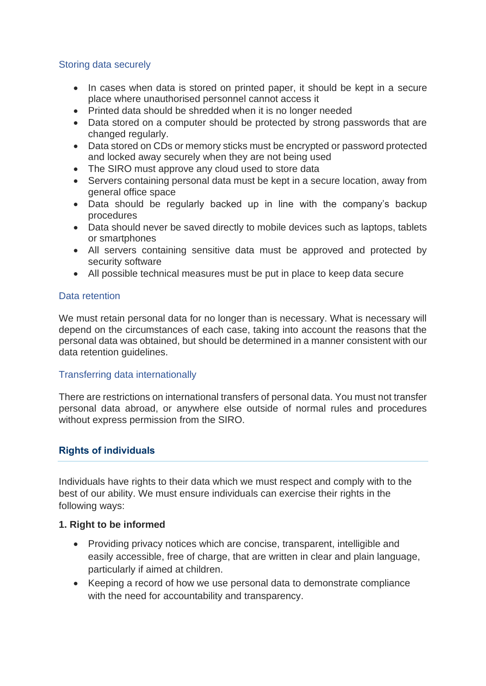## Storing data securely

- In cases when data is stored on printed paper, it should be kept in a secure place where unauthorised personnel cannot access it
- Printed data should be shredded when it is no longer needed
- Data stored on a computer should be protected by strong passwords that are changed regularly.
- Data stored on CDs or memory sticks must be encrypted or password protected and locked away securely when they are not being used
- The SIRO must approve any cloud used to store data
- Servers containing personal data must be kept in a secure location, away from general office space
- Data should be regularly backed up in line with the company's backup procedures
- Data should never be saved directly to mobile devices such as laptops, tablets or smartphones
- All servers containing sensitive data must be approved and protected by security software
- All possible technical measures must be put in place to keep data secure

## Data retention

We must retain personal data for no longer than is necessary. What is necessary will depend on the circumstances of each case, taking into account the reasons that the personal data was obtained, but should be determined in a manner consistent with our data retention guidelines.

## Transferring data internationally

There are restrictions on international transfers of personal data. You must not transfer personal data abroad, or anywhere else outside of normal rules and procedures without express permission from the SIRO.

## **Rights of individuals**

Individuals have rights to their data which we must respect and comply with to the best of our ability. We must ensure individuals can exercise their rights in the following ways:

## **1. Right to be informed**

- Providing privacy notices which are concise, transparent, intelligible and easily accessible, free of charge, that are written in clear and plain language, particularly if aimed at children.
- Keeping a record of how we use personal data to demonstrate compliance with the need for accountability and transparency.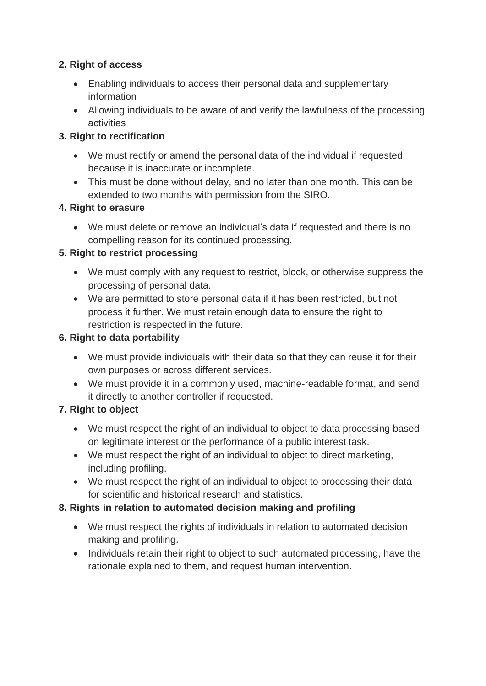## **2. Right of access**

- Enabling individuals to access their personal data and supplementary information
- Allowing individuals to be aware of and verify the lawfulness of the processing activities

## **3. Right to rectification**

- We must rectify or amend the personal data of the individual if requested because it is inaccurate or incomplete.
- This must be done without delay, and no later than one month. This can be extended to two months with permission from the SIRO.

## **4. Right to erasure**

• We must delete or remove an individual's data if requested and there is no compelling reason for its continued processing.

## **5. Right to restrict processing**

- We must comply with any request to restrict, block, or otherwise suppress the processing of personal data.
- We are permitted to store personal data if it has been restricted, but not process it further. We must retain enough data to ensure the right to restriction is respected in the future.

## **6. Right to data portability**

- We must provide individuals with their data so that they can reuse it for their own purposes or across different services.
- We must provide it in a commonly used, machine-readable format, and send it directly to another controller if requested.

## **7. Right to object**

- We must respect the right of an individual to object to data processing based on legitimate interest or the performance of a public interest task.
- We must respect the right of an individual to object to direct marketing, including profiling.
- We must respect the right of an individual to object to processing their data for scientific and historical research and statistics.

## **8. Rights in relation to automated decision making and profiling**

- We must respect the rights of individuals in relation to automated decision making and profiling.
- Individuals retain their right to object to such automated processing, have the rationale explained to them, and request human intervention.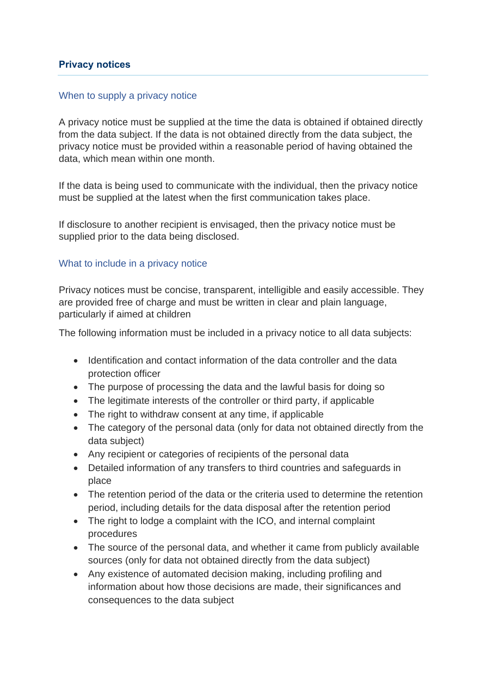## **Privacy notices**

## When to supply a privacy notice

A privacy notice must be supplied at the time the data is obtained if obtained directly from the data subject. If the data is not obtained directly from the data subject, the privacy notice must be provided within a reasonable period of having obtained the data, which mean within one month.

If the data is being used to communicate with the individual, then the privacy notice must be supplied at the latest when the first communication takes place.

If disclosure to another recipient is envisaged, then the privacy notice must be supplied prior to the data being disclosed.

## What to include in a privacy notice

Privacy notices must be concise, transparent, intelligible and easily accessible. They are provided free of charge and must be written in clear and plain language, particularly if aimed at children

The following information must be included in a privacy notice to all data subjects:

- Identification and contact information of the data controller and the data protection officer
- The purpose of processing the data and the lawful basis for doing so
- The legitimate interests of the controller or third party, if applicable
- The right to withdraw consent at any time, if applicable
- The category of the personal data (only for data not obtained directly from the data subject)
- Any recipient or categories of recipients of the personal data
- Detailed information of any transfers to third countries and safeguards in place
- The retention period of the data or the criteria used to determine the retention period, including details for the data disposal after the retention period
- The right to lodge a complaint with the ICO, and internal complaint procedures
- The source of the personal data, and whether it came from publicly available sources (only for data not obtained directly from the data subject)
- Any existence of automated decision making, including profiling and information about how those decisions are made, their significances and consequences to the data subject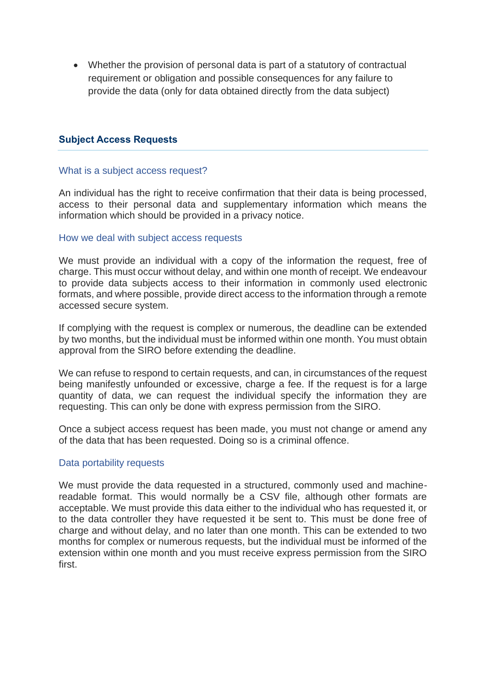• Whether the provision of personal data is part of a statutory of contractual requirement or obligation and possible consequences for any failure to provide the data (only for data obtained directly from the data subject)

#### **Subject Access Requests**

#### What is a subject access request?

An individual has the right to receive confirmation that their data is being processed, access to their personal data and supplementary information which means the information which should be provided in a privacy notice.

#### How we deal with subject access requests

We must provide an individual with a copy of the information the request, free of charge. This must occur without delay, and within one month of receipt. We endeavour to provide data subjects access to their information in commonly used electronic formats, and where possible, provide direct access to the information through a remote accessed secure system.

If complying with the request is complex or numerous, the deadline can be extended by two months, but the individual must be informed within one month. You must obtain approval from the SIRO before extending the deadline.

We can refuse to respond to certain requests, and can, in circumstances of the request being manifestly unfounded or excessive, charge a fee. If the request is for a large quantity of data, we can request the individual specify the information they are requesting. This can only be done with express permission from the SIRO.

Once a subject access request has been made, you must not change or amend any of the data that has been requested. Doing so is a criminal offence.

#### Data portability requests

We must provide the data requested in a structured, commonly used and machinereadable format. This would normally be a CSV file, although other formats are acceptable. We must provide this data either to the individual who has requested it, or to the data controller they have requested it be sent to. This must be done free of charge and without delay, and no later than one month. This can be extended to two months for complex or numerous requests, but the individual must be informed of the extension within one month and you must receive express permission from the SIRO first.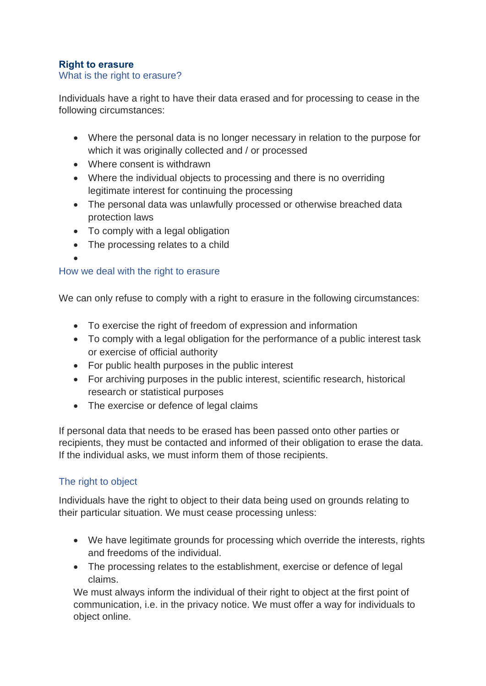## **Right to erasure**

## What is the right to erasure?

Individuals have a right to have their data erased and for processing to cease in the following circumstances:

- Where the personal data is no longer necessary in relation to the purpose for which it was originally collected and / or processed
- Where consent is withdrawn
- Where the individual objects to processing and there is no overriding legitimate interest for continuing the processing
- The personal data was unlawfully processed or otherwise breached data protection laws
- To comply with a legal obligation
- The processing relates to a child
- 

•

## How we deal with the right to erasure

We can only refuse to comply with a right to erasure in the following circumstances:

- To exercise the right of freedom of expression and information
- To comply with a legal obligation for the performance of a public interest task or exercise of official authority
- For public health purposes in the public interest
- For archiving purposes in the public interest, scientific research, historical research or statistical purposes
- The exercise or defence of legal claims

If personal data that needs to be erased has been passed onto other parties or recipients, they must be contacted and informed of their obligation to erase the data. If the individual asks, we must inform them of those recipients.

## The right to object

Individuals have the right to object to their data being used on grounds relating to their particular situation. We must cease processing unless:

- We have legitimate grounds for processing which override the interests, rights and freedoms of the individual.
- The processing relates to the establishment, exercise or defence of legal claims.

We must always inform the individual of their right to object at the first point of communication, i.e. in the privacy notice. We must offer a way for individuals to object online.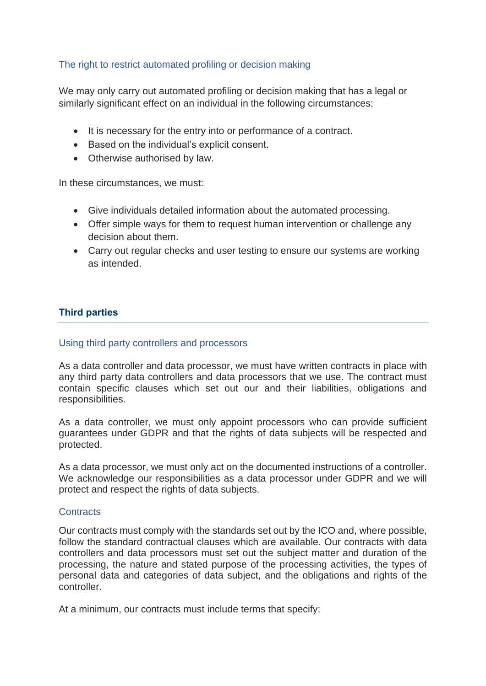## The right to restrict automated profiling or decision making

We may only carry out automated profiling or decision making that has a legal or similarly significant effect on an individual in the following circumstances:

- It is necessary for the entry into or performance of a contract.
- Based on the individual's explicit consent.
- Otherwise authorised by law.

In these circumstances, we must:

- Give individuals detailed information about the automated processing.
- Offer simple ways for them to request human intervention or challenge any decision about them.
- Carry out regular checks and user testing to ensure our systems are working as intended.

## **Third parties**

## Using third party controllers and processors

As a data controller and data processor, we must have written contracts in place with any third party data controllers and data processors that we use. The contract must contain specific clauses which set out our and their liabilities, obligations and responsibilities.

As a data controller, we must only appoint processors who can provide sufficient guarantees under GDPR and that the rights of data subjects will be respected and protected.

As a data processor, we must only act on the documented instructions of a controller. We acknowledge our responsibilities as a data processor under GDPR and we will protect and respect the rights of data subjects.

#### **Contracts**

Our contracts must comply with the standards set out by the ICO and, where possible, follow the standard contractual clauses which are available. Our contracts with data controllers and data processors must set out the subject matter and duration of the processing, the nature and stated purpose of the processing activities, the types of personal data and categories of data subject, and the obligations and rights of the controller.

At a minimum, our contracts must include terms that specify: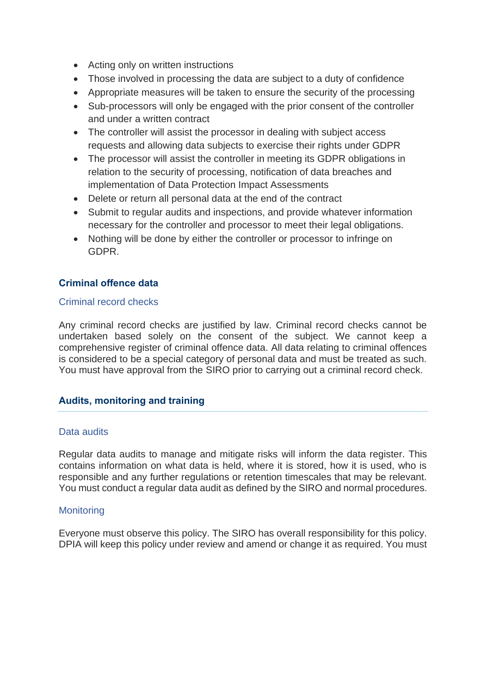- Acting only on written instructions
- Those involved in processing the data are subiect to a duty of confidence
- Appropriate measures will be taken to ensure the security of the processing
- Sub-processors will only be engaged with the prior consent of the controller and under a written contract
- The controller will assist the processor in dealing with subject access requests and allowing data subjects to exercise their rights under GDPR
- The processor will assist the controller in meeting its GDPR obligations in relation to the security of processing, notification of data breaches and implementation of Data Protection Impact Assessments
- Delete or return all personal data at the end of the contract
- Submit to regular audits and inspections, and provide whatever information necessary for the controller and processor to meet their legal obligations.
- Nothing will be done by either the controller or processor to infringe on GDPR.

## **Criminal offence data**

## Criminal record checks

Any criminal record checks are justified by law. Criminal record checks cannot be undertaken based solely on the consent of the subject. We cannot keep a comprehensive register of criminal offence data. All data relating to criminal offences is considered to be a special category of personal data and must be treated as such. You must have approval from the SIRO prior to carrying out a criminal record check.

## **Audits, monitoring and training**

## Data audits

Regular data audits to manage and mitigate risks will inform the data register. This contains information on what data is held, where it is stored, how it is used, who is responsible and any further regulations or retention timescales that may be relevant. You must conduct a regular data audit as defined by the SIRO and normal procedures.

## **Monitoring**

Everyone must observe this policy. The SIRO has overall responsibility for this policy. DPIA will keep this policy under review and amend or change it as required. You must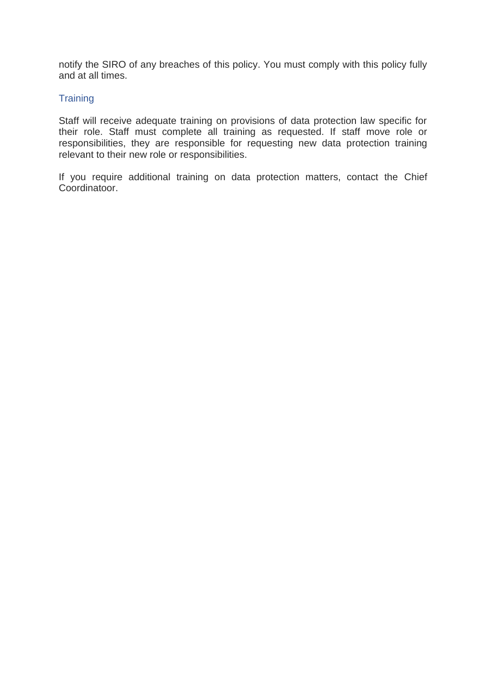notify the SIRO of any breaches of this policy. You must comply with this policy fully and at all times.

## **Training**

Staff will receive adequate training on provisions of data protection law specific for their role. Staff must complete all training as requested. If staff move role or responsibilities, they are responsible for requesting new data protection training relevant to their new role or responsibilities.

If you require additional training on data protection matters, contact the Chief Coordinatoor.